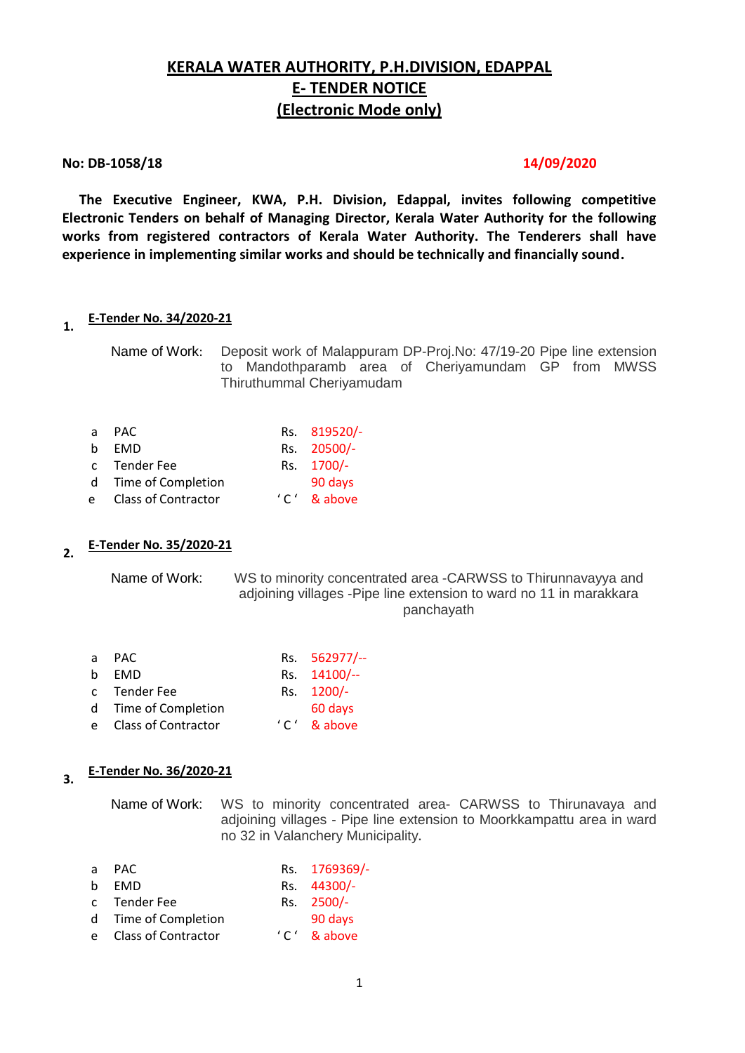# **KERALA WATER AUTHORITY, P.H.DIVISION, EDAPPAL E- TENDER NOTICE (Electronic Mode only)**

#### **No: DB-1058/18 14/09/2020**

 **The Executive Engineer, KWA, P.H. Division, Edappal, invites following competitive Electronic Tenders on behalf of Managing Director, Kerala Water Authority for the following works from registered contractors of Kerala Water Authority. The Tenderers shall have experience in implementing similar works and should be technically and financially sound.**

#### **1. E-Tender No. 34/2020-21**

Name of Work: Deposit work of Malappuram DP-Proj.No: 47/19-20 Pipe line extension to Mandothparamb area of Cheriyamundam GP from MWSS Thiruthummal Cheriyamudam

| $\mathsf{a}$ | PAC                   | Rs. 819520/-  |
|--------------|-----------------------|---------------|
| h.           | <b>FMD</b>            | Rs. 20500/-   |
|              | c Tender Fee          | Rs. 1700/-    |
|              | d Time of Completion  | 90 days       |
|              | e Class of Contractor | $'C'$ & above |

#### **2. E-Tender No. 35/2020-21**

Name of Work: WS to minority concentrated area -CARWSS to Thirunnavayya and adjoining villages -Pipe line extension to ward no 11 in marakkara panchayath

| a. | PAC.                 | Rs. 562977/-- |
|----|----------------------|---------------|
| h. | <b>FMD</b>           | Rs. 14100/--  |
|    | c Tender Fee         | Rs. 1200/-    |
|    | d Time of Completion | 60 days       |
| e. | Class of Contractor  | $'C'$ & above |

# **3. E-Tender No. 36/2020-21**

Name of Work: WS to minority concentrated area- CARWSS to Thirunavaya and adjoining villages - Pipe line extension to Moorkkampattu area in ward no 32 in Valanchery Municipality**.**

| a PAC |  | Rs. 1769369/- |  |
|-------|--|---------------|--|
|       |  |               |  |

- b FMD Rs. 44300/-
- c Tender Fee Rs. 2500/-
- d Time of Completion 90 days
- e Class of Contractor ' C' & above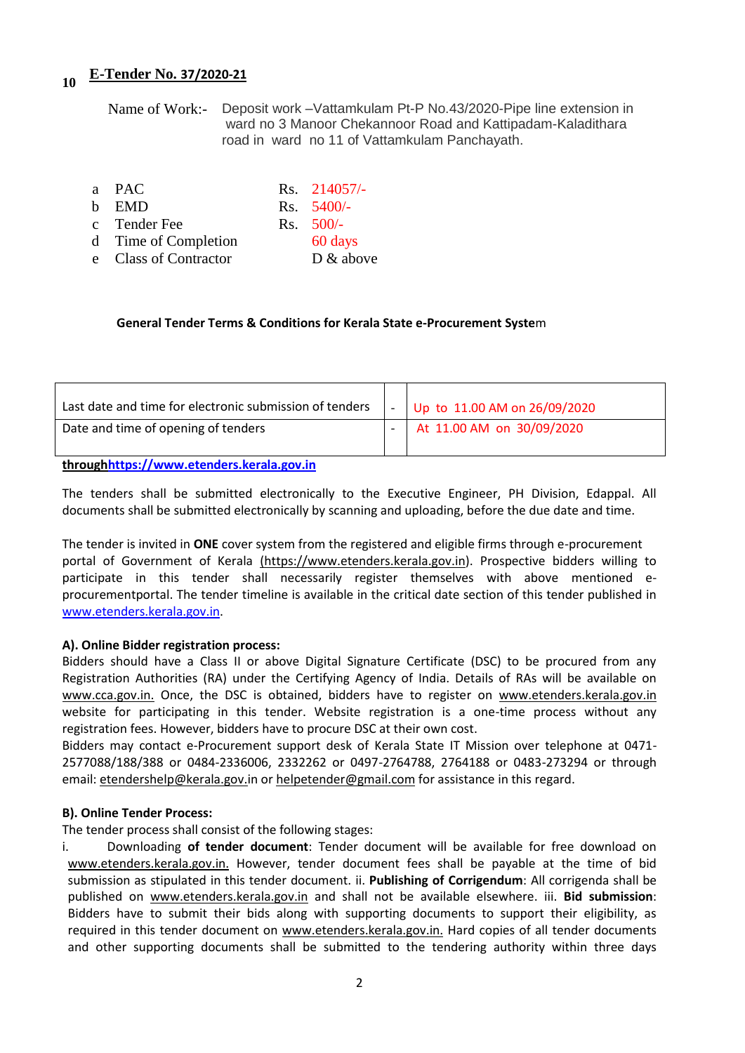# **<sup>10</sup> E-Tender No. 37/2020-21**

Name of Work:- Deposit work –Vattamkulam Pt-P No.43/2020-Pipe line extension in ward no 3 Manoor Chekannoor Road and Kattipadam-Kaladithara road in ward no 11 of Vattamkulam Panchayath.

| a PAC                 | Rs. 214057/- |
|-----------------------|--------------|
| b EMD                 | $Rs. 5400/-$ |
| c Tender Fee          | $Rs. 500/-$  |
| d Time of Completion  | 60 days      |
| e Class of Contractor | $D \& above$ |

#### **General Tender Terms & Conditions for Kerala State e-Procurement Syste**m

| Last date and time for electronic submission of tenders | Up to $11.00$ AM on $26/09/2020$ |
|---------------------------------------------------------|----------------------------------|
| Date and time of opening of tenders                     | At 11.00 AM on 30/09/2020        |

**throug[hhttps://www.etenders.kerala.gov.in](https://www.etenders.kerala.gov.in/)**

The tenders shall be submitted electronically to the Executive Engineer, PH Division, Edappal. All documents shall be submitted electronically by scanning and uploading, before the due date and time.

The tender is invited in **ONE** cover system from the registered and eligible firms through e-procurement portal of Government of Kerala (https://www.etenders.kerala.gov.in). Prospective bidders willing to participate in this tender shall necessarily register themselves with above mentioned eprocurementportal. The tender timeline is available in the critical date section of this tender published in [www.etenders.kerala.gov.in.](http://www.etenders.kerala.gov.in/)

#### **A). Online Bidder registration process:**

Bidders should have a Class II or above Digital Signature Certificate (DSC) to be procured from any Registration Authorities (RA) under the Certifying Agency of India. Details of RAs will be available on www.cca.gov.in. Once, the DSC is obtained, bidders have to register on www.etenders.kerala.gov.in website for participating in this tender. Website registration is a one-time process without any registration fees. However, bidders have to procure DSC at their own cost.

Bidders may contact e-Procurement support desk of Kerala State IT Mission over telephone at 0471- 2577088/188/388 or 0484-2336006, 2332262 or 0497-2764788, 2764188 or 0483-273294 or through email: etendershelp@kerala.gov.in or helpetender@gmail.com for assistance in this regard.

#### **B). Online Tender Process:**

The tender process shall consist of the following stages:

i. Downloading **of tender document**: Tender document will be available for free download on www.etenders.kerala.gov.in. However, tender document fees shall be payable at the time of bid submission as stipulated in this tender document. ii. **Publishing of Corrigendum**: All corrigenda shall be published on www.etenders.kerala.gov.in and shall not be available elsewhere. iii. **Bid submission**: Bidders have to submit their bids along with supporting documents to support their eligibility, as required in this tender document on www.etenders.kerala.gov.in. Hard copies of all tender documents and other supporting documents shall be submitted to the tendering authority within three days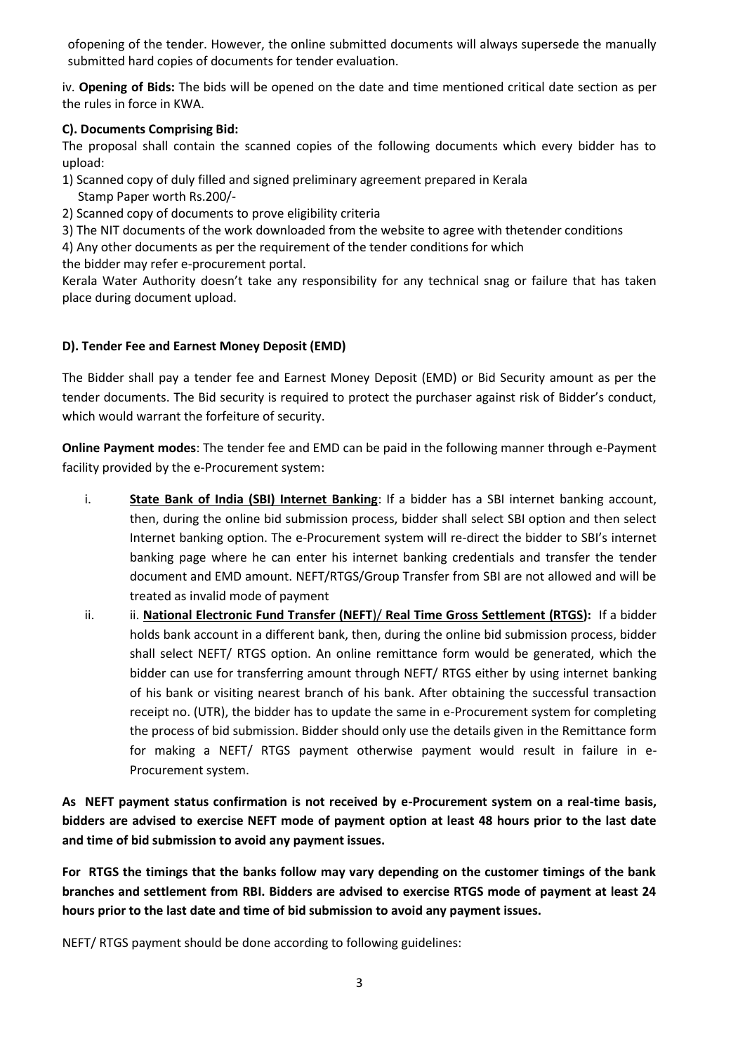ofopening of the tender. However, the online submitted documents will always supersede the manually submitted hard copies of documents for tender evaluation.

iv. **Opening of Bids:** The bids will be opened on the date and time mentioned critical date section as per the rules in force in KWA.

## **C). Documents Comprising Bid:**

The proposal shall contain the scanned copies of the following documents which every bidder has to upload:

1) Scanned copy of duly filled and signed preliminary agreement prepared in Kerala Stamp Paper worth Rs.200/-

2) Scanned copy of documents to prove eligibility criteria

3) The NIT documents of the work downloaded from the website to agree with thetender conditions

4) Any other documents as per the requirement of the tender conditions for which

the bidder may refer e-procurement portal.

Kerala Water Authority doesn't take any responsibility for any technical snag or failure that has taken place during document upload.

## **D). Tender Fee and Earnest Money Deposit (EMD)**

The Bidder shall pay a tender fee and Earnest Money Deposit (EMD) or Bid Security amount as per the tender documents. The Bid security is required to protect the purchaser against risk of Bidder's conduct, which would warrant the forfeiture of security.

**Online Payment modes**: The tender fee and EMD can be paid in the following manner through e-Payment facility provided by the e-Procurement system:

- i. **State Bank of India (SBI) Internet Banking**: If a bidder has a SBI internet banking account, then, during the online bid submission process, bidder shall select SBI option and then select Internet banking option. The e-Procurement system will re-direct the bidder to SBI's internet banking page where he can enter his internet banking credentials and transfer the tender document and EMD amount. NEFT/RTGS/Group Transfer from SBI are not allowed and will be treated as invalid mode of payment
- ii. ii. **National Electronic Fund Transfer (NEFT**)/ **Real Time Gross Settlement (RTGS):** If a bidder holds bank account in a different bank, then, during the online bid submission process, bidder shall select NEFT/ RTGS option. An online remittance form would be generated, which the bidder can use for transferring amount through NEFT/ RTGS either by using internet banking of his bank or visiting nearest branch of his bank. After obtaining the successful transaction receipt no. (UTR), the bidder has to update the same in e-Procurement system for completing the process of bid submission. Bidder should only use the details given in the Remittance form for making a NEFT/ RTGS payment otherwise payment would result in failure in e-Procurement system.

**As NEFT payment status confirmation is not received by e-Procurement system on a real-time basis, bidders are advised to exercise NEFT mode of payment option at least 48 hours prior to the last date and time of bid submission to avoid any payment issues.** 

**For RTGS the timings that the banks follow may vary depending on the customer timings of the bank branches and settlement from RBI. Bidders are advised to exercise RTGS mode of payment at least 24 hours prior to the last date and time of bid submission to avoid any payment issues.** 

NEFT/ RTGS payment should be done according to following guidelines: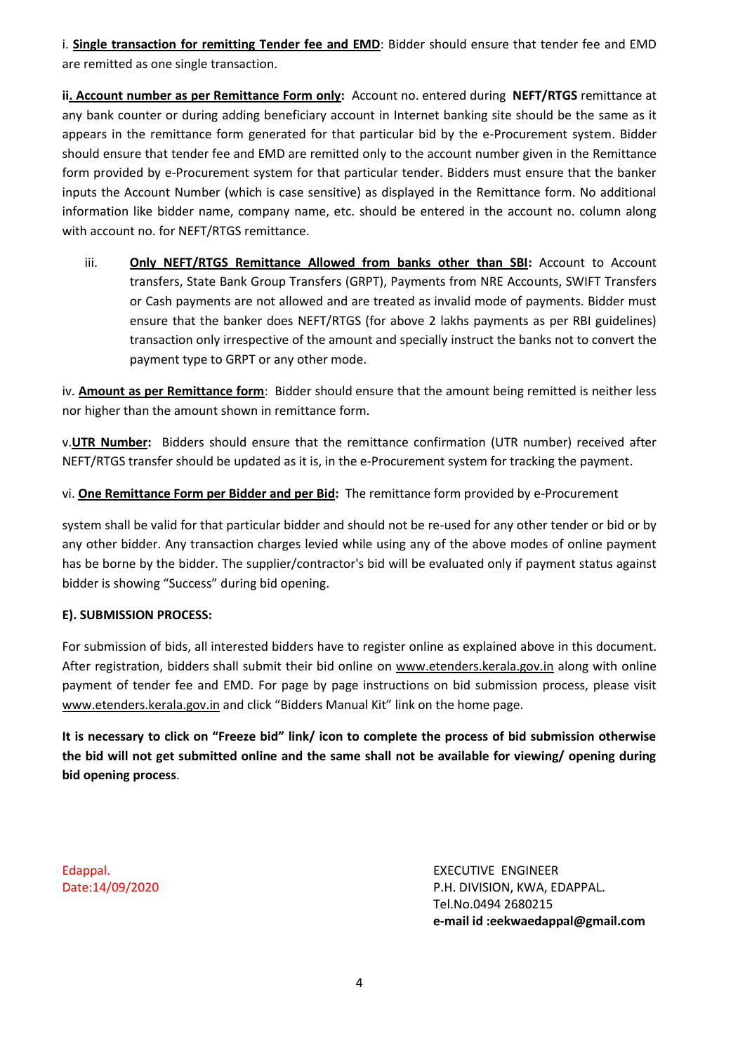i. **Single transaction for remitting Tender fee and EMD**: Bidder should ensure that tender fee and EMD are remitted as one single transaction.

**ii. Account number as per Remittance Form only:** Account no. entered during **NEFT/RTGS** remittance at any bank counter or during adding beneficiary account in Internet banking site should be the same as it appears in the remittance form generated for that particular bid by the e-Procurement system. Bidder should ensure that tender fee and EMD are remitted only to the account number given in the Remittance form provided by e-Procurement system for that particular tender. Bidders must ensure that the banker inputs the Account Number (which is case sensitive) as displayed in the Remittance form. No additional information like bidder name, company name, etc. should be entered in the account no. column along with account no. for NEFT/RTGS remittance.

iii. **Only NEFT/RTGS Remittance Allowed from banks other than SBI:** Account to Account transfers, State Bank Group Transfers (GRPT), Payments from NRE Accounts, SWIFT Transfers or Cash payments are not allowed and are treated as invalid mode of payments. Bidder must ensure that the banker does NEFT/RTGS (for above 2 lakhs payments as per RBI guidelines) transaction only irrespective of the amount and specially instruct the banks not to convert the payment type to GRPT or any other mode.

iv. **Amount as per Remittance form**: Bidder should ensure that the amount being remitted is neither less nor higher than the amount shown in remittance form.

v.**UTR Number:** Bidders should ensure that the remittance confirmation (UTR number) received after NEFT/RTGS transfer should be updated as it is, in the e-Procurement system for tracking the payment.

vi. **One Remittance Form per Bidder and per Bid:** The remittance form provided by e-Procurement

system shall be valid for that particular bidder and should not be re-used for any other tender or bid or by any other bidder. Any transaction charges levied while using any of the above modes of online payment has be borne by the bidder. The supplier/contractor's bid will be evaluated only if payment status against bidder is showing "Success" during bid opening.

### **E). SUBMISSION PROCESS:**

For submission of bids, all interested bidders have to register online as explained above in this document. After registration, bidders shall submit their bid online on www.etenders.kerala.gov.in along with online payment of tender fee and EMD. For page by page instructions on bid submission process, please visit www.etenders.kerala.gov.in and click "Bidders Manual Kit" link on the home page.

**It is necessary to click on "Freeze bid" link/ icon to complete the process of bid submission otherwise the bid will not get submitted online and the same shall not be available for viewing/ opening during bid opening process**.

Edappal. Date:14/09/2020

EXECUTIVE ENGINEER P.H. DIVISION, KWA, EDAPPAL. Tel.No.0494 2680215 **e-mail id :eekwaedappal@gmail.com**